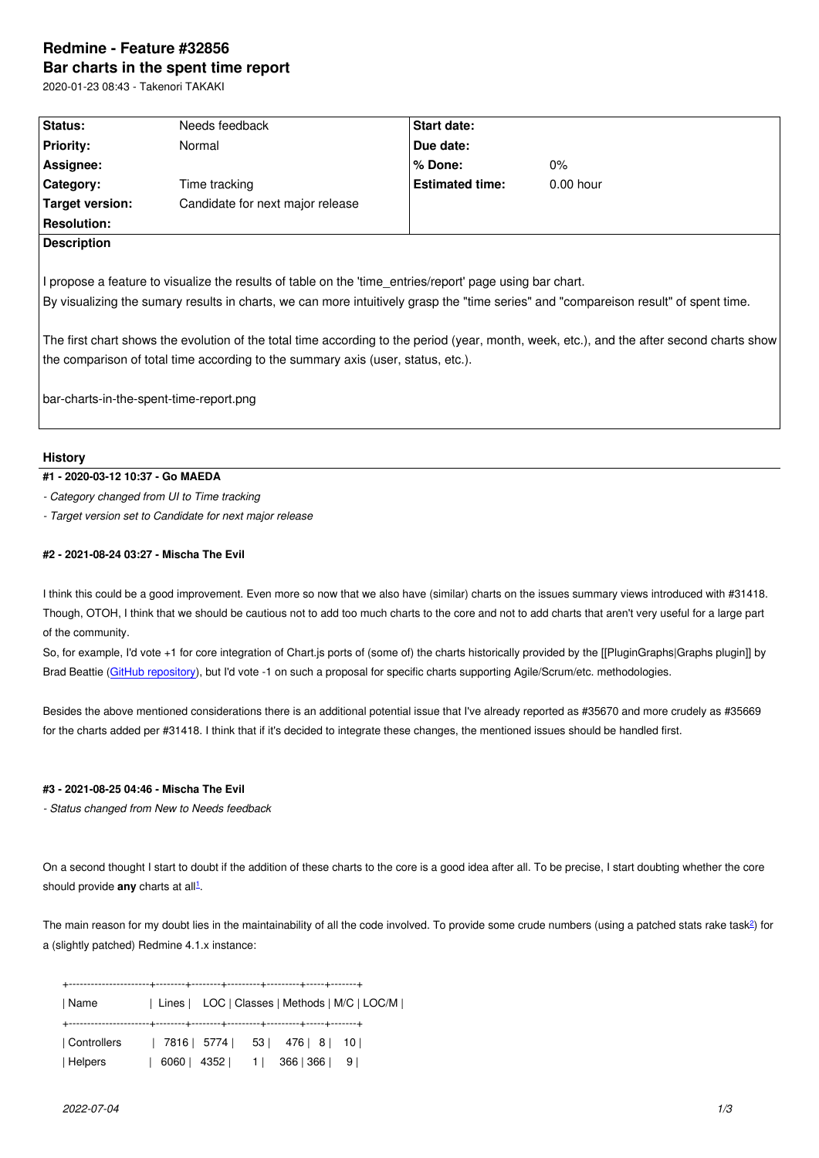#### **Bar charts in the spent time report**

2020-01-23 08:43 - Takenori TAKAKI

| Status:            | Needs feedback                   | <b>Start date:</b>     |             |  |
|--------------------|----------------------------------|------------------------|-------------|--|
| <b>Priority:</b>   | Normal                           | Due date:              |             |  |
| Assignee:          |                                  | % Done:                | 0%          |  |
| Category:          | Time tracking                    | <b>Estimated time:</b> | $0.00$ hour |  |
| Target version:    | Candidate for next major release |                        |             |  |
| <b>Resolution:</b> |                                  |                        |             |  |
| <b>Description</b> |                                  |                        |             |  |
|                    |                                  |                        |             |  |

I propose a feature to visualize the results of table on the 'time\_entries/report' page using bar chart. By visualizing the sumary results in charts, we can more intuitively grasp the "time series" and "compareison result" of spent time.

The first chart shows the evolution of the total time according to the period (year, month, week, etc.), and the after second charts show the comparison of total time according to the summary axis (user, status, etc.).

bar-charts-in-the-spent-time-report.png

## **History**

## **#1 - 2020-03-12 10:37 - Go MAEDA**

*- Category changed from UI to Time tracking*

*- Target version set to Candidate for next major release*

## **#2 - 2021-08-24 03:27 - Mischa The Evil**

I think this could be a good improvement. Even more so now that we also have (similar) charts on the issues summary views introduced with #31418. Though, OTOH, I think that we should be cautious not to add too much charts to the core and not to add charts that aren't very useful for a large part of the community.

So, for example, I'd vote +1 for core integration of Chart.js ports of (some of) the charts historically provided by the [[PluginGraphs|Graphs plugin]] by Brad Beattie (GitHub repository), but I'd vote -1 on such a proposal for specific charts supporting Agile/Scrum/etc. methodologies.

Besides the above mentioned considerations there is an additional potential issue that I've already reported as #35670 and more crudely as #35669 for the charts [added per #31418](https://github.com/bradbeattie/redmine-graphs-plugin). I think that if it's decided to integrate these changes, the mentioned issues should be handled first.

# **#3 - 2021-08-25 04:46 - Mischa The Evil**

*- Status changed from New to Needs feedback*

On a second thought I start to doubt if the addition of these charts to the core is a good idea after all. To be precise, I start doubting whether the core should provide **any** charts at all<sup>1</sup>.

The main reason for my doubt lies in the maintainability of all the code involved. To provide some crude numbers (using a patched stats rake task2) for a (slightly patched) Redmine 4.[1](#fn1).x instance:

+----------------------+--------+--------+---------+---------+-----+-------+

| Name | Lines | LOC | Classes | Methods | M/C | LOC/M | +----------------------+--------+--------+---------+---------+-----+-------+

| Controllers |  |  | 7816   5774   53   476   8   10 |  |
|-------------|--|--|---------------------------------|--|
| Helpers     |  |  | 6060   4352   1   366   366   9 |  |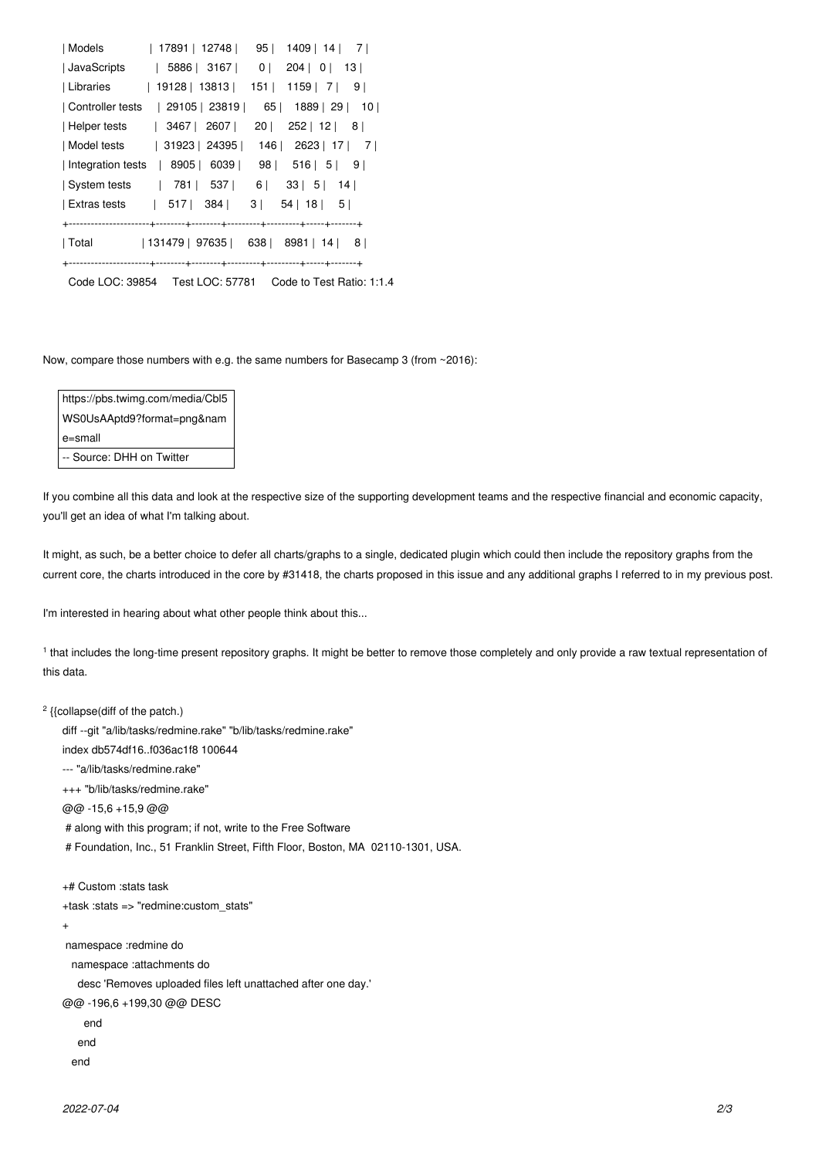|                  | Models   17891   12748   95   1409   14   7        |
|------------------|----------------------------------------------------|
| JavaScripts      | 5886 3167 0 204 0 13                               |
| Libraries        | 19128   13813   151   1159   7   9                 |
| Controller tests | 65   1889   29   10  <br>  29105   23819           |
| Helper tests     | $20$   252   12   8  <br>  3467   2607             |
|                  | Model tests   31923   24395   146   2623   17   7  |
|                  | Integration tests   8905   6039   98   516   5   9 |
|                  | System tests   781   537   6   33   5   14         |
|                  | Extras tests   517   384  <br>3  54   18   5       |
|                  |                                                    |
|                  | Total   131479   97635   638   8981   14   8       |
|                  |                                                    |
|                  |                                                    |

Now, compare those numbers with e.g. the same numbers for Basecamp 3 (from ~2016):

https://pbs.twimg.com/media/Cbl5 WS0UsAAptd9?format=png&nam e=small -- Source: DHH on Twitter

If you combine all this data and look at the respective size of the supporting development teams and the respective financial and economic capacity, you'll get an idea of what I'm talking about.

It might, as such, be a better choice to defer all charts/graphs to a single, dedicated plugin which could then include the repository graphs from the current core, the charts introduced in the core by #31418, the charts proposed in this issue and any additional graphs I referred to in my previous post.

I'm interested in hearing about what other people think about this...

1 that includes the long-time present repository graphs. It might be better to remove those completely and only provide a raw textual representation of this data.

```
<sup>2</sup> {{collapse(diff of the patch.)
```
diff --git "a/lib/tasks/redmine.rake" "b/lib/tasks/redmine.rake"

index db574df16..f036ac1f8 100644

--- "a/lib/tasks/redmine.rake"

+++ "b/lib/tasks/redmine.rake"

@@ -15,6 +15,9 @@

# along with this program; if not, write to the Free Software

# Foundation, Inc., 51 Franklin Street, Fifth Floor, Boston, MA 02110-1301, USA.

```
+# Custom :stats task
```
+task :stats => "redmine:custom\_stats"

```
+
```
namespace :redmine do

namespace :attachments do

desc 'Removes uploaded files left unattached after one day.'

@@ -196,6 +199,30 @@ DESC

```
 end
```
end

end